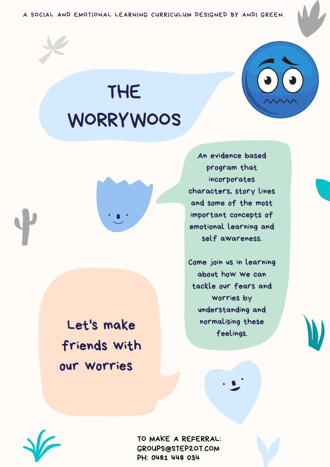A SOCIAL AND EMOTIONAL LEARNING CURRICULUM DESIGNED BY ANDI GREEN.



An evidence based program that incorporates characters, story lines and some of the most important concepts of emotional learning and self awareness.

Come join us in learning about how we can tackle our fears and worries by understanding and normalising these feelings.





## THE WORRYWOOS



Let's make friends with our worries

> TO MAKE A REFERRAL: GROUPS@STEP2OT.COM PH: 0481 448 034